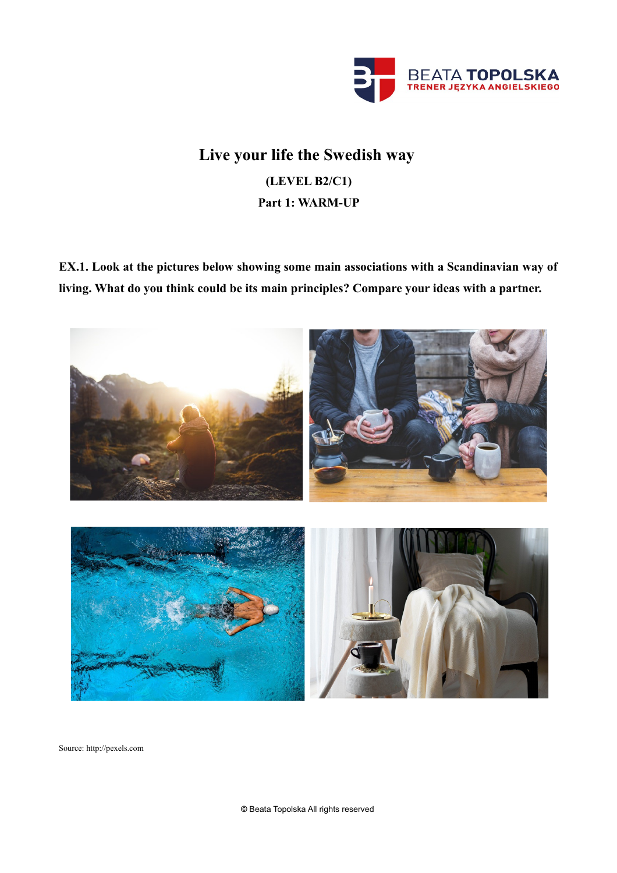

# **Live your life the Swedish way (LEVEL B2/C1) Part 1: WARM-UP**

**EX.1. Look at the pictures below showing some main associations with a Scandinavian way of living. What do you think could be its main principles? Compare your ideas with a partner.**



Source: http://pexels.com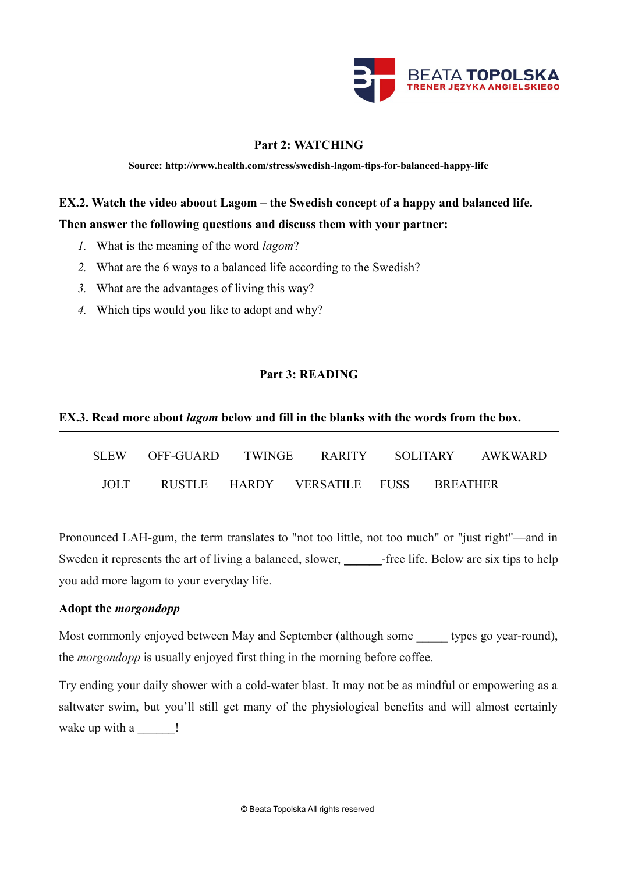

# **Part 2: WATCHING**

**Source: http://www.health.com/stress/swedish-lagom-tips-for-balanced-happy-life**

# **EX.2. Watch the video aboout Lagom – the Swedish concept of a happy and balanced life.**

# **Then answer the following questions and discuss them with your partner:**

- *1.* What is the meaning of the word *lagom*?
- *2.* What are the 6 ways to a balanced life according to the Swedish?
- *3.* What are the advantages of living this way?
- *4.* Which tips would you like to adopt and why?

# **Part 3: READING**

# **EX.3. Read more about** *lagom* **below and fill in the blanks with the words from the box.**

| SLEW.         | - OFF-GUARD - TWINGE - RARITY - SOLITARY - AWKWARD |                                      |  |  |
|---------------|----------------------------------------------------|--------------------------------------|--|--|
| $\Box$ $\Box$ |                                                    | RUSTLE HARDY VERSATILE FUSS BREATHER |  |  |

Pronounced LAH-gum, the term translates to "not too little, not too much" or "just right"—and in Sweden it represents the art of living a balanced, slower, \_\_\_\_\_\_\_-free life. Below are six tips to help you add more lagom to your everyday life.

# **Adopt the** *morgondopp*

Most commonly enjoyed between May and September (although some types go year-round), the *morgondopp* is usually enjoyed first thing in the morning before coffee.

Try ending your daily shower with a cold-water blast. It may not be as mindful or empowering as a saltwater swim, but you'll still get many of the physiological benefits and will almost certainly wake up with a \_\_\_\_\_\_ !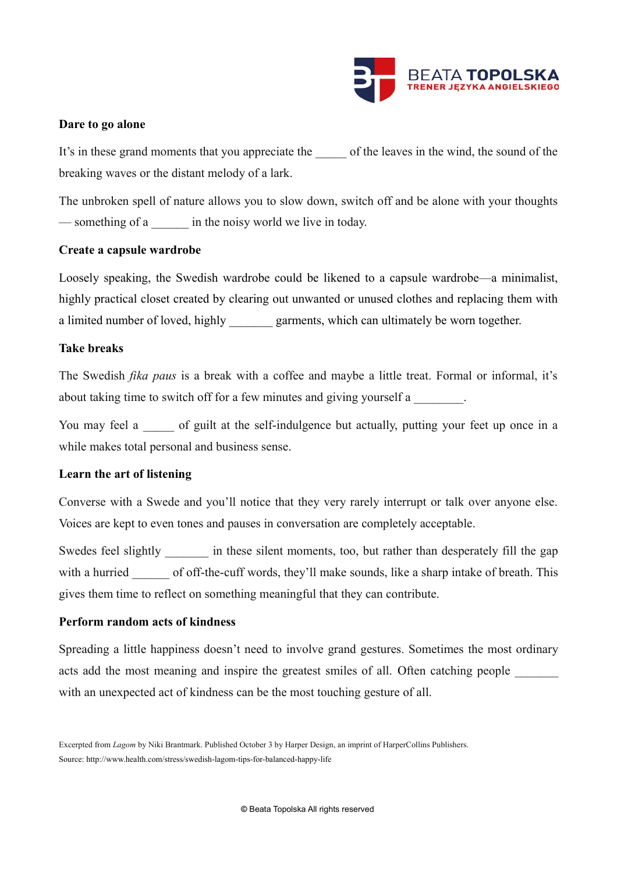

# **Dare to go alone**

It's in these grand moments that you appreciate the of the leaves in the wind, the sound of the breaking waves or the distant melody of a lark.

The unbroken spell of nature allows you to slow down, switch off and be alone with your thoughts — something of a \_\_\_\_\_\_ in the noisy world we live in today.

#### **Create a capsule wardrobe**

Loosely speaking, the Swedish wardrobe could be likened to a capsule wardrobe—a minimalist, highly practical closet created by clearing out unwanted or unused clothes and replacing them with a limited number of loved, highly garments, which can ultimately be worn together.

# **Take breaks**

The Swedish *fika paus* is a break with a coffee and maybe a little treat. Formal or informal, it's about taking time to switch off for a few minutes and giving yourself a

You may feel a cof guilt at the self-indulgence but actually, putting your feet up once in a while makes total personal and business sense.

#### **Learn the art of listening**

Converse with a Swede and you'll notice that they very rarely interrupt or talk over anyone else. Voices are kept to even tones and pauses in conversation are completely acceptable.

Swedes feel slightly \_\_\_\_\_\_\_ in these silent moments, too, but rather than desperately fill the gap with a hurried of off-the-cuff words, they'll make sounds, like a sharp intake of breath. This gives them time to reflect on something meaningful that they can contribute.

#### **Perform random acts of kindness**

Spreading a little happiness doesn't need to involve grand gestures. Sometimes the most ordinary acts add the most meaning and inspire the greatest smiles of all. Often catching people with an unexpected act of kindness can be the most touching gesture of all.

Excerpted from *Lagom* by Niki Brantmark. Published October 3 by Harper Design, an imprint of HarperCollins Publishers. Source: http://www.health.com/stress/swedish-lagom-tips-for-balanced-happy-life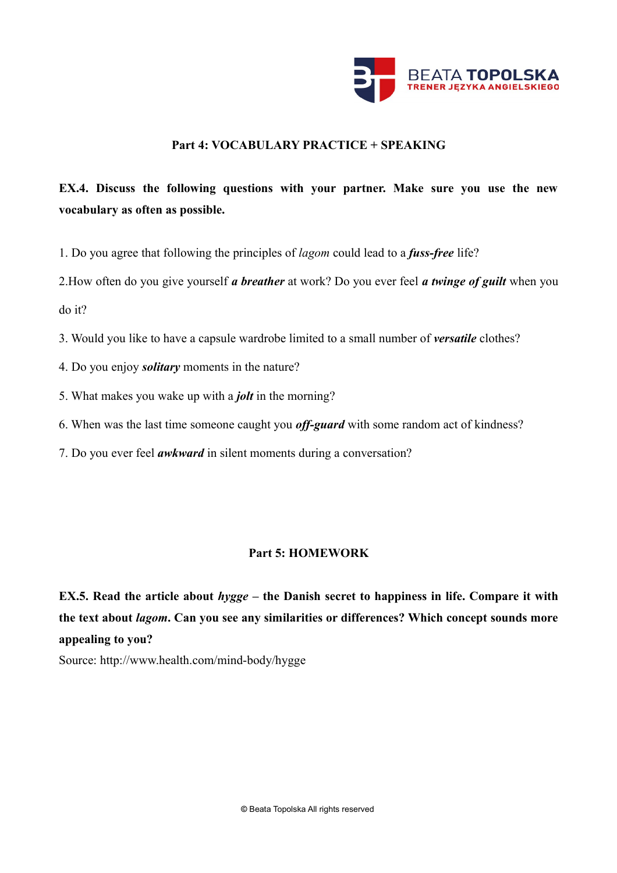

# **Part 4: VOCABULARY PRACTICE + SPEAKING**

# **EX.4. Discuss the following questions with your partner. Make sure you use the new vocabulary as often as possible.**

1. Do you agree that following the principles of *lagom* could lead to a *fuss-free* life?

2.How often do you give yourself *a breather* at work? Do you ever feel *a twinge of guilt* when you do it?

3. Would you like to have a capsule wardrobe limited to a small number of *versatile* clothes?

- 4. Do you enjoy *solitary* moments in the nature?
- 5. What makes you wake up with a *jolt* in the morning?
- 6. When was the last time someone caught you *off-guard* with some random act of kindness?
- 7. Do you ever feel *awkward* in silent moments during a conversation?

# **Part 5: HOMEWORK**

**EX.5. Read the article about** *hygge* **– the Danish secret to happiness in life. Compare it with the text about** *lagom***. Can you see any similarities or differences? Which concept sounds more appealing to you?**

Source: http://www.health.com/mind-body/hygge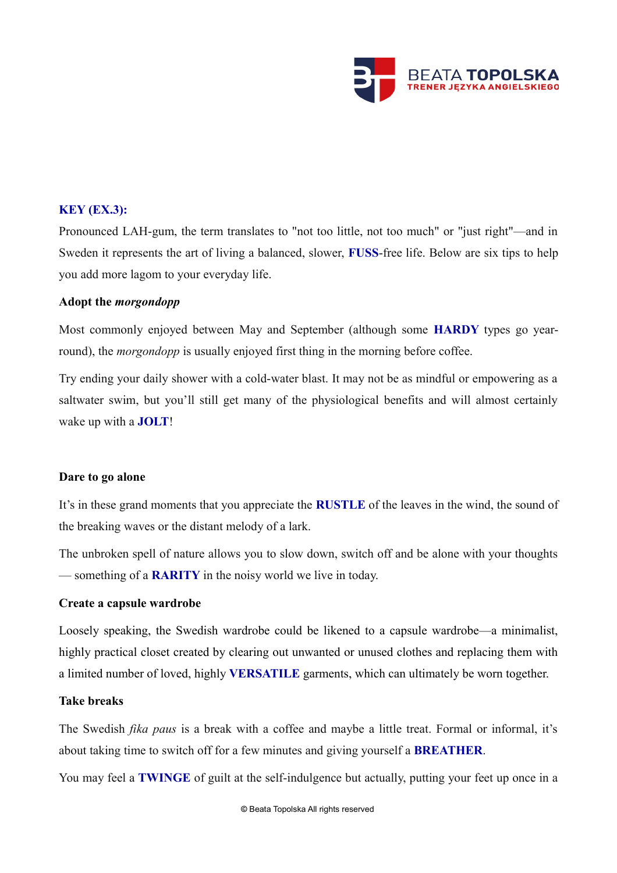

# **KEY (EX.3):**

Pronounced LAH-gum, the term translates to "not too little, not too much" or "just right"—and in Sweden it represents the art of living a balanced, slower, **FUSS**-free life. Below are six tips to help you add more lagom to your everyday life.

# **Adopt the** *morgondopp*

Most commonly enjoyed between May and September (although some **HARDY** types go yearround), the *morgondopp* is usually enjoyed first thing in the morning before coffee.

Try ending your daily shower with a cold-water blast. It may not be as mindful or empowering as a saltwater swim, but you'll still get many of the physiological benefits and will almost certainly wake up with a **JOLT**!

# **Dare to go alone**

It's in these grand moments that you appreciate the **RUSTLE** of the leaves in the wind, the sound of the breaking waves or the distant melody of a lark.

The unbroken spell of nature allows you to slow down, switch off and be alone with your thoughts — something of a **RARITY** in the noisy world we live in today.

# **Create a capsule wardrobe**

Loosely speaking, the Swedish wardrobe could be likened to a capsule wardrobe—a minimalist, highly practical closet created by clearing out unwanted or unused clothes and replacing them with a limited number of loved, highly **VERSATILE** garments, which can ultimately be worn together.

# **Take breaks**

The Swedish *fika paus* is a break with a coffee and maybe a little treat. Formal or informal, it's about taking time to switch off for a few minutes and giving yourself a **BREATHER**.

You may feel a **TWINGE** of guilt at the self-indulgence but actually, putting your feet up once in a